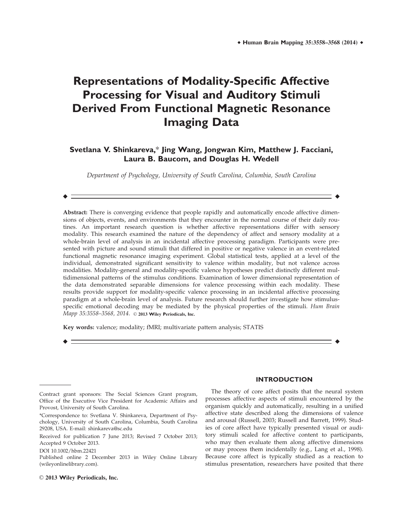# **Representations of Modality-Specific Affective Processing for Visual and Auditory Stimuli Derived From Functional Magnetic Resonance Imaging Data**

### **Svetlana V. Shinkareva,**\* **Jing Wang, Jongwan Kim, Matthew J. Facciani, Laura B. Baucom, and Douglas H. Wedell**

Department of Psychology, University of South Carolina, Columbia, South Carolina

r r

Abstract: There is converging evidence that people rapidly and automatically encode affective dimensions of objects, events, and environments that they encounter in the normal course of their daily routines. An important research question is whether affective representations differ with sensory modality. This research examined the nature of the dependency of affect and sensory modality at a whole-brain level of analysis in an incidental affective processing paradigm. Participants were presented with picture and sound stimuli that differed in positive or negative valence in an event-related functional magnetic resonance imaging experiment. Global statistical tests, applied at a level of the individual, demonstrated significant sensitivity to valence within modality, but not valence across modalities. Modality-general and modality-specific valence hypotheses predict distinctly different multidimensional patterns of the stimulus conditions. Examination of lower dimensional representation of the data demonstrated separable dimensions for valence processing within each modality. These results provide support for modality-specific valence processing in an incidental affective processing paradigm at a whole-brain level of analysis. Future research should further investigate how stimulusspecific emotional decoding may be mediated by the physical properties of the stimuli. Hum Brain Mapp 35:3558-3568, 2014. © 2013 Wiley Periodicals, Inc.

r r

Key words: valence; modality; fMRI; multivariate pattern analysis; STATIS

## **INTRODUCTION**

The theory of core affect posits that the neural system processes affective aspects of stimuli encountered by the organism quickly and automatically, resulting in a unified affective state described along the dimensions of valence and arousal (Russell, 2003; Russell and Barrett, 1999). Studies of core affect have typically presented visual or auditory stimuli scaled for affective content to participants, who may then evaluate them along affective dimensions or may process them incidentally (e.g., Lang et al., 1998). Because core affect is typically studied as a reaction to stimulus presentation, researchers have posited that there

Contract grant sponsors: The Social Sciences Grant program, Office of the Executive Vice President for Academic Affairs and Provost, University of South Carolina.

<sup>\*</sup>Correspondence to: Svetlana V. Shinkareva, Department of Psychology, University of South Carolina, Columbia, South Carolina 29208, USA. E-mail: shinkareva@sc.edu

Received for publication 7 June 2013; Revised 7 October 2013; Accepted 9 October 2013.

DOI 10.1002/hbm.22421

Published online 2 December 2013 in Wiley Online Library (wileyonlinelibrary.com).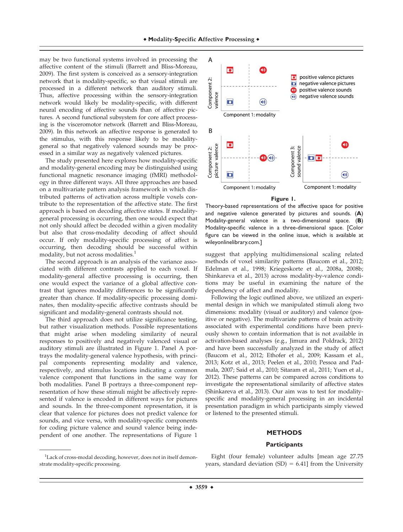may be two functional systems involved in processing the affective content of the stimuli (Barrett and Bliss-Moreau, 2009). The first system is conceived as a sensory-integration network that is modality-specific, so that visual stimuli are processed in a different network than auditory stimuli. Thus, affective processing within the sensory-integration network would likely be modality-specific, with different neural encoding of affective sounds than of affective pictures. A second functional subsystem for core affect processing is the visceromotor network (Barrett and Bliss-Moreau, 2009). In this network an affective response is generated to the stimulus, with this response likely to be modalitygeneral so that negatively valenced sounds may be processed in a similar way as negatively valenced pictures.

The study presented here explores how modality-specific and modality-general encoding may be distinguished using functional magnetic resonance imaging (fMRI) methodology in three different ways. All three approaches are based on a multivariate pattern analysis framework in which distributed patterns of activation across multiple voxels contribute to the representation of the affective state. The first approach is based on decoding affective states. If modalitygeneral processing is occurring, then one would expect that not only should affect be decoded within a given modality but also that cross-modality decoding of affect should occur. If only modality-specific processing of affect is occurring, then decoding should be successful within modality, but not across modalities.<sup>1</sup>

The second approach is an analysis of the variance associated with different contrasts applied to each voxel. If modality-general affective processing is occurring, then one would expect the variance of a global affective contrast that ignores modality differences to be significantly greater than chance. If modality-specific processing dominates, then modality-specific affective contrasts should be significant and modality-general contrasts should not.

The third approach does not utilize significance testing, but rather visualization methods. Possible representations that might arise when modeling similarity of neural responses to positively and negatively valenced visual or auditory stimuli are illustrated in Figure 1. Panel A portrays the modality-general valence hypothesis, with principal components representing modality and valence, respectively, and stimulus locations indicating a common valence component that functions in the same way for both modalities. Panel B portrays a three-component representation of how these stimuli might be affectively represented if valence is encoded in different ways for pictures and sounds. In the three-component representation, it is clear that valence for pictures does not predict valence for sounds, and vice versa, with modality-specific components for coding picture valence and sound valence being independent of one another. The representations of Figure 1



Theory-based representations of the affective space for positive and negative valence generated by pictures and sounds. (**A**) Modality-general valence in a two-dimensional space. (**B**) Modality-specific valence in a three-dimensional space. [Color figure can be viewed in the online issue, which is available at wileyonlinelibrary.com.]

suggest that applying multidimensional scaling related methods of voxel similarity patterns (Baucom et al., 2012; Edelman et al., 1998; Kriegeskorte et al., 2008a, 2008b; Shinkareva et al., 2013) across modality-by-valence conditions may be useful in examining the nature of the dependency of affect and modality.

Following the logic outlined above, we utilized an experimental design in which we manipulated stimuli along two dimensions: modality (visual or auditory) and valence (positive or negative). The multivariate patterns of brain activity associated with experimental conditions have been previously shown to contain information that is not available in activation-based analyses (e.g., Jimura and Poldrack, 2012) and have been successfully analyzed in the study of affect (Baucom et al., 2012; Ethofer et al., 2009; Kassam et al., 2013; Kotz et al., 2013; Peelen et al., 2010; Pessoa and Padmala, 2007; Said et al., 2010; Sitaram et al., 2011; Yuen et al., 2012). These patterns can be compared across conditions to investigate the representational similarity of affective states (Shinkareva et al., 2013). Our aim was to test for modalityspecific and modality-general processing in an incidental presentation paradigm in which participants simply viewed or listened to the presented stimuli.

#### **METHODS**

#### **Participants**

Eight (four female) volunteer adults [mean age 27.75 years, standard deviation  $(SD) = 6.41$ ] from the University

<sup>&</sup>lt;sup>1</sup>Lack of cross-modal decoding, however, does not in itself demonstrate modality-specific processing.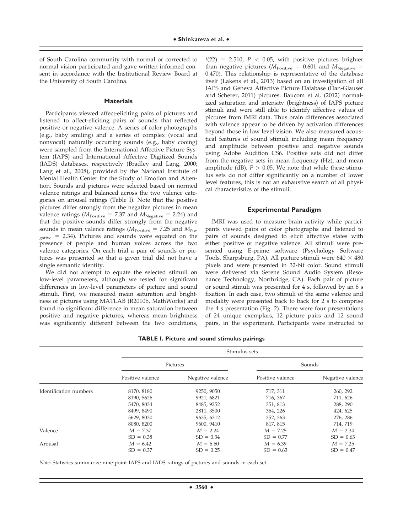of South Carolina community with normal or corrected to normal vision participated and gave written informed consent in accordance with the Institutional Review Board at the University of South Carolina.

#### **Materials**

Participants viewed affect-eliciting pairs of pictures and listened to affect-eliciting pairs of sounds that reflected positive or negative valence. A series of color photographs (e.g., baby smiling) and a series of complex (vocal and nonvocal) naturally occurring sounds (e.g., baby cooing) were sampled from the International Affective Picture System (IAPS) and International Affective Digitized Sounds (IADS) databases, respectively (Bradley and Lang, 2000; Lang et al., 2008), provided by the National Institute of Mental Health Center for the Study of Emotion and Attention. Sounds and pictures were selected based on normed valence ratings and balanced across the two valence categories on arousal ratings (Table I). Note that the positive pictures differ strongly from the negative pictures in mean valence ratings ( $M_{\text{Positive}} = 7.37$  and  $M_{\text{Negative}} = 2.24$ ) and that the positive sounds differ strongly from the negative sounds in mean valence ratings ( $M_{\text{Positive}} = 7.25$  and  $M_{\text{Ne-}}$  $_{\text{gative}}$  = 2.34). Pictures and sounds were equated on the presence of people and human voices across the two valence categories. On each trial a pair of sounds or pictures was presented so that a given trial did not have a single semantic identity.

We did not attempt to equate the selected stimuli on low-level parameters, although we tested for significant differences in low-level parameters of picture and sound stimuli. First, we measured mean saturation and brightness of pictures using MATLAB (R2010b, MathWorks) and found no significant difference in mean saturation between positive and negative pictures, whereas mean brightness was significantly different between the two conditions,  $t(22) = 2.510$ ,  $P < 0.05$ , with positive pictures brighter than negative pictures ( $M_{\text{Positive}} = 0.601$  and  $M_{\text{Negative}} =$ 0.470). This relationship is representative of the database itself (Lakens et al., 2013) based on an investigation of all IAPS and Geneva Affective Picture Database (Dan-Glauser and Scherer, 2011) pictures. Baucom et al. (2012) normalized saturation and intensity (brightness) of IAPS picture stimuli and were still able to identify affective values of pictures from fMRI data. Thus brain differences associated with valence appear to be driven by activation differences beyond those in low level vision. We also measured acoustical features of sound stimuli including mean frequency and amplitude between positive and negative sounds using Adobe Audition CS6. Positive sets did not differ from the negative sets in mean frequency (Hz), and mean amplitude (dB),  $P > 0.05$ . We note that while these stimulus sets do not differ significantly on a number of lower level features, this is not an exhaustive search of all physical characteristics of the stimuli.

#### **Experimental Paradigm**

fMRI was used to measure brain activity while participants viewed pairs of color photographs and listened to pairs of sounds designed to elicit affective states with either positive or negative valence. All stimuli were presented using E-prime software (Psychology Software Tools, Sharpsburg, PA). All picture stimuli were  $640 \times 480$ pixels and were presented in 32-bit color. Sound stimuli were delivered via Serene Sound Audio System (Resonance Technology, Northridge, CA). Each pair of picture or sound stimuli was presented for 4 s, followed by an 8 s fixation. In each case, two stimuli of the same valence and modality were presented back to back for 2 s to comprise the 4 s presentation (Fig. 2). There were four presentations of 24 unique exemplars, 12 picture pairs and 12 sound pairs, in the experiment. Participants were instructed to

|                        | Stimulus sets    |                  |                  |                  |  |  |
|------------------------|------------------|------------------|------------------|------------------|--|--|
|                        | Pictures         |                  | Sounds           |                  |  |  |
|                        | Positive valence | Negative valence | Positive valence | Negative valence |  |  |
| Identification numbers | 8170, 8180       | 9250, 9050       | 717, 311         | 260, 292         |  |  |
|                        | 8190, 5626       | 9921, 6821       | 716, 367         | 711, 626         |  |  |
|                        | 5470, 8034       | 8485, 9252       | 351, 813         | 288, 290         |  |  |
|                        | 8499, 8490       | 2811, 3500       | 364, 226         | 424, 625         |  |  |
|                        | 5629, 8030       | 9635, 6312       | 352, 363         | 276, 286         |  |  |
|                        | 8080, 8200       | 9600, 9410       | 817, 815         | 714, 719         |  |  |
| Valence                | $M = 7.37$       | $M = 2.24$       | $M = 7.25$       | $M = 2.34$       |  |  |
|                        | $SD = 0.38$      | $SD = 0.34$      | $SD = 0.77$      | $SD = 0.63$      |  |  |
| Arousal                | $M = 6.42$       | $M = 6.60$       | $M = 6.39$       | $M = 7.25$       |  |  |
|                        | $SD = 0.37$      | $SD = 0.25$      | $SD = 0.63$      | $SD = 0.47$      |  |  |

**TABLE I. Picture and sound stimulus pairings**

Note: Statistics summarize nine-point IAPS and IADS ratings of pictures and sounds in each set.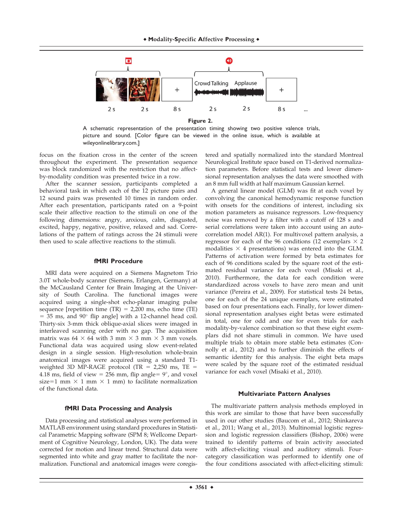

A schematic representation of the presentation timing showing two positive valence trials, picture and sound. [Color figure can be viewed in the online issue, which is available at wileyonlinelibrary.com.]

focus on the fixation cross in the center of the screen throughout the experiment. The presentation sequence was block randomized with the restriction that no affectby-modality condition was presented twice in a row.

After the scanner session, participants completed a behavioral task in which each of the 12 picture pairs and 12 sound pairs was presented 10 times in random order. After each presentation, participants rated on a 9-point scale their affective reaction to the stimuli on one of the following dimensions: angry, anxious, calm, disgusted, excited, happy, negative, positive, relaxed and sad. Correlations of the pattern of ratings across the 24 stimuli were then used to scale affective reactions to the stimuli.

#### **fMRI Procedure**

MRI data were acquired on a Siemens Magnetom Trio 3.0T whole-body scanner (Siemens, Erlangen, Germany) at the McCausland Center for Brain Imaging at the University of South Carolina. The functional images were acquired using a single-shot echo-planar imaging pulse sequence [repetition time  $(TR) = 2,200$  ms, echo time  $(TE)$  $=$  35 ms, and 90 $^{\circ}$  flip angle] with a 12-channel head coil. Thirty-six 3-mm thick oblique-axial slices were imaged in interleaved scanning order with no gap. The acquisition matrix was  $64 \times 64$  with 3 mm  $\times$  3 mm  $\times$  3 mm voxels. Functional data was acquired using slow event-related design in a single session. High-resolution whole-brain anatomical images were acquired using a standard T1 weighted 3D MP-RAGE protocol (TR =  $2,250$  ms, TE = 4.18 ms, field of view = 256 mm, flip angle=  $9^{\circ}$ , and voxel size=1 mm  $\times$  1 mm  $\times$  1 mm) to facilitate normalization of the functional data.

#### **fMRI Data Processing and Analysis**

Data processing and statistical analyses were performed in MATLAB environment using standard procedures in Statistical Parametric Mapping software (SPM 8; Wellcome Department of Cognitive Neurology, London, UK). The data were corrected for motion and linear trend. Structural data were segmented into white and gray matter to facilitate the normalization. Functional and anatomical images were coregis-

tered and spatially normalized into the standard Montreal Neurological Institute space based on T1-derived normalization parameters. Before statistical tests and lower dimensional representation analyses the data were smoothed with an 8 mm full width at half maximum Gaussian kernel.

A general linear model (GLM) was fit at each voxel by convolving the canonical hemodynamic response function with onsets for the conditions of interest, including six motion parameters as nuisance regressors. Low-frequency noise was removed by a filter with a cutoff of 128 s and serial correlations were taken into account using an autocorrelation model AR(1). For multivoxel pattern analysis, a regressor for each of the 96 conditions (12 exemplars  $\times$  2 modalities  $\times$  4 presentations) was entered into the GLM. Patterns of activation were formed by beta estimates for each of 96 conditions scaled by the square root of the estimated residual variance for each voxel (Misaki et al., 2010). Furthermore, the data for each condition were standardized across voxels to have zero mean and unit variance (Pereira et al., 2009). For statistical tests 24 betas, one for each of the 24 unique exemplars, were estimated based on four presentations each. Finally, for lower dimensional representation analyses eight betas were estimated in total, one for odd and one for even trials for each modality-by-valence combination so that these eight exemplars did not share stimuli in common. We have used multiple trials to obtain more stable beta estimates (Connolly et al., 2012) and to further diminish the effects of semantic identity for this analysis. The eight beta maps were scaled by the square root of the estimated residual variance for each voxel (Misaki et al., 2010).

#### **Multivariate Pattern Analyses**

The multivariate pattern analysis methods employed in this work are similar to those that have been successfully used in our other studies (Baucom et al., 2012; Shinkareva et al., 2011; Wang et al., 2013). Multinomial logistic regression and logistic regression classifiers (Bishop, 2006) were trained to identify patterns of brain activity associated with affect-eliciting visual and auditory stimuli. Fourcategory classification was performed to identify one of the four conditions associated with affect-eliciting stimuli: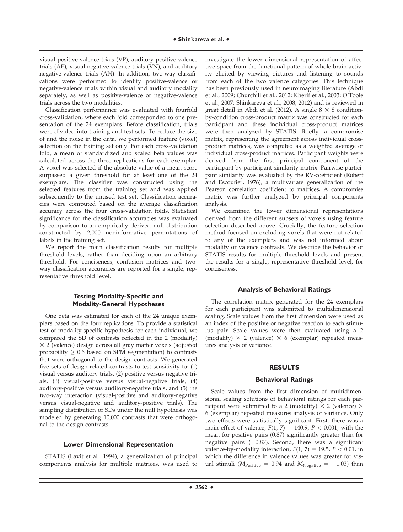visual positive-valence trials (VP), auditory positive-valence trials (AP), visual negative-valence trials (VN), and auditory negative-valence trials (AN). In addition, two-way classifications were performed to identify positive-valence or negative-valence trials within visual and auditory modality separately, as well as positive-valence or negative-valence trials across the two modalities.

Classification performance was evaluated with fourfold cross-validation, where each fold corresponded to one presentation of the 24 exemplars. Before classification, trials were divided into training and test sets. To reduce the size of and the noise in the data, we performed feature (voxel) selection on the training set only. For each cross-validation fold, a mean of standardized and scaled beta values was calculated across the three replications for each exemplar. A voxel was selected if the absolute value of a mean score surpassed a given threshold for at least one of the 24 exemplars. The classifier was constructed using the selected features from the training set and was applied subsequently to the unused test set. Classification accuracies were computed based on the average classification accuracy across the four cross-validation folds. Statistical significance for the classification accuracies was evaluated by comparison to an empirically derived null distribution constructed by 2,000 noninformative permutations of labels in the training set.

We report the main classification results for multiple threshold levels, rather than deciding upon an arbitrary threshold. For conciseness, confusion matrices and twoway classification accuracies are reported for a single, representative threshold level.

#### **Testing Modality-Specific and Modality-General Hypotheses**

One beta was estimated for each of the 24 unique exemplars based on the four replications. To provide a statistical test of modality-specific hypothesis for each individual, we compared the SD of contrasts reflected in the 2 (modality)  $\times$  2 (valence) design across all gray matter voxels (adjusted probability  $\geq 0.6$  based on SPM segmentation) to contrasts that were orthogonal to the design contrasts. We generated five sets of design-related contrasts to test sensitivity to: (1) visual versus auditory trials, (2) positive versus negative trials, (3) visual-positive versus visual-negative trials, (4) auditory-positive versus auditory-negative trials, and (5) the two-way interaction (visual-positive and auditory-negative versus visual-negative and auditory-positive trials). The sampling distribution of SDs under the null hypothesis was modeled by generating 10,000 contrasts that were orthogonal to the design contrasts.

#### **Lower Dimensional Representation**

STATIS (Lavit et al., 1994), a generalization of principal components analysis for multiple matrices, was used to investigate the lower dimensional representation of affective space from the functional pattern of whole-brain activity elicited by viewing pictures and listening to sounds from each of the two valence categories. This technique has been previously used in neuroimaging literature (Abdi et al., 2009; Churchill et al., 2012; Kherif et al., 2003; O'Toole et al., 2007; Shinkareva et al., 2008, 2012) and is reviewed in great detail in Abdi et al. (2012). A single  $8 \times 8$  conditionby-condition cross-product matrix was constructed for each participant and these individual cross-product matrices were then analyzed by STATIS. Briefly, a compromise matrix, representing the agreement across individual crossproduct matrices, was computed as a weighted average of individual cross-product matrices. Participant weights were derived from the first principal component of the participant-by-participant similarity matrix. Pairwise participant similarity was evaluated by the RV-coefficient (Robert and Escoufier, 1976), a multivariate generalization of the Pearson correlation coefficient to matrices. A compromise matrix was further analyzed by principal components analysis.

We examined the lower dimensional representations derived from the different subsets of voxels using feature selection described above. Crucially, the feature selection method focused on excluding voxels that were not related to any of the exemplars and was not informed about modality or valence contrasts. We describe the behavior of STATIS results for multiple threshold levels and present the results for a single, representative threshold level, for conciseness.

#### **Analysis of Behavioral Ratings**

The correlation matrix generated for the 24 exemplars for each participant was submitted to multidimensional scaling. Scale values from the first dimension were used as an index of the positive or negative reaction to each stimulus pair. Scale values were then evaluated using a 2 (modality)  $\times$  2 (valence)  $\times$  6 (exemplar) repeated measures analysis of variance.

#### **RESULTS**

#### **Behavioral Ratings**

Scale values from the first dimension of multidimensional scaling solutions of behavioral ratings for each participant were submitted to a 2 (modality)  $\times$  2 (valence)  $\times$ 6 (exemplar) repeated measures analysis of variance. Only two effects were statistically significant. First, there was a main effect of valence,  $F(1, 7) = 140.9$ ,  $P < 0.001$ , with the mean for positive pairs (0.87) significantly greater than for negative pairs  $(-0.87)$ . Second, there was a significant valence-by-modality interaction,  $F(1, 7) = 19.5$ ,  $P < 0.01$ , in which the difference in valence values was greater for visual stimuli ( $M_{\text{Positive}} = 0.94$  and  $M_{\text{Negative}} = -1.03$ ) than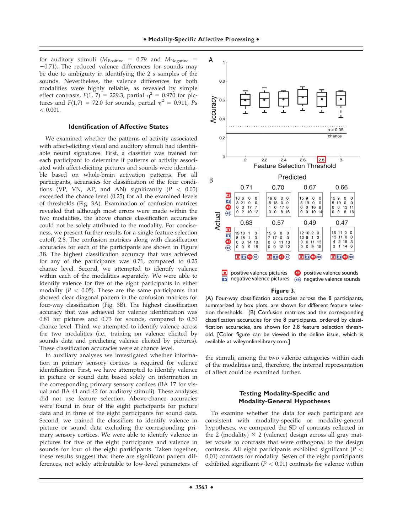for auditory stimuli ( $M_{\text{Positive}} = 0.79$  and  $M_{\text{Negative}} =$  $-0.71$ ). The reduced valence differences for sounds may be due to ambiguity in identifying the 2 s samples of the sounds. Nevertheless, the valence differences for both modalities were highly reliable, as revealed by simple effect contrasts,  $F(1, 7) = 229.3$ , partial  $\eta^2 = 0.970$  for pictures and  $F(1,7) = 72.0$  for sounds, partial  $\eta^2 = 0.911$ , Ps  $< 0.001$ .

#### **Identification of Affective States**

We examined whether the patterns of activity associated with affect-eliciting visual and auditory stimuli had identifiable neural signatures. First, a classifier was trained for each participant to determine if patterns of activity associated with affect-eliciting pictures and sounds were identifiable based on whole-brain activation patterns. For all participants, accuracies for classification of the four conditions (VP, VN, AP, and AN) significantly ( $P < 0.05$ ) exceeded the chance level (0.25) for all the examined levels of thresholds (Fig. 3A). Examination of confusion matrices revealed that although most errors were made within the two modalities, the above chance classification accuracies could not be solely attributed to the modality. For conciseness, we present further results for a single feature selection cutoff, 2.8. The confusion matrices along with classification accuracies for each of the participants are shown in Figure 3B. The highest classification accuracy that was achieved for any of the participants was 0.71, compared to 0.25 chance level. Second, we attempted to identify valence within each of the modalities separately. We were able to identify valence for five of the eight participants in either modality ( $P < 0.05$ ). These are the same participants that showed clear diagonal pattern in the confusion matrices for four-way classification (Fig. 3B). The highest classification accuracy that was achieved for valence identification was 0.81 for pictures and 0.73 for sounds, compared to 0.50 chance level. Third, we attempted to identify valence across the two modalities (i.e., training on valence elicited by sounds data and predicting valence elicited by pictures). These classification accuracies were at chance level.

In auxiliary analyses we investigated whether information in primary sensory cortices is required for valence identification. First, we have attempted to identify valence in picture or sound data based solely on information in the corresponding primary sensory cortices (BA 17 for visual and BA 41 and 42 for auditory stimuli). These analyses did not use feature selection. Above-chance accuracies were found in four of the eight participants for picture data and in three of the eight participants for sound data. Second, we trained the classifiers to identify valence in picture or sound data excluding the corresponding primary sensory cortices. We were able to identify valence in pictures for five of the eight participants and valence in sounds for four of the eight participants. Taken together, these results suggest that there are significant pattern differences, not solely attributable to low-level parameters of



#### **Figure 3.**

(A) Four-way classification accuracies across the 8 participants, summarized by box plots, are shown for different feature selection thresholds. (B) Confusion matrices and the corresponding classification accuracies for the 8 participants, ordered by classification accuracies, are shown for 2.8 feature selection threshold. [Color figure can be viewed in the online issue, which is available at wileyonlinelibrary.com.]

the stimuli, among the two valence categories within each of the modalities and, therefore, the internal representation of affect could be examined further.

#### **Testing Modality-Specific and Modality-General Hypotheses**

To examine whether the data for each participant are consistent with modality-specific or modality-general hypotheses, we compared the SD of contrasts reflected in the 2 (modality)  $\times$  2 (valence) design across all gray matter voxels to contrasts that were orthogonal to the design contrasts. All eight participants exhibited significant ( $P <$ 0.01) contrasts for modality. Seven of the eight participants exhibited significant ( $P < 0.01$ ) contrasts for valence within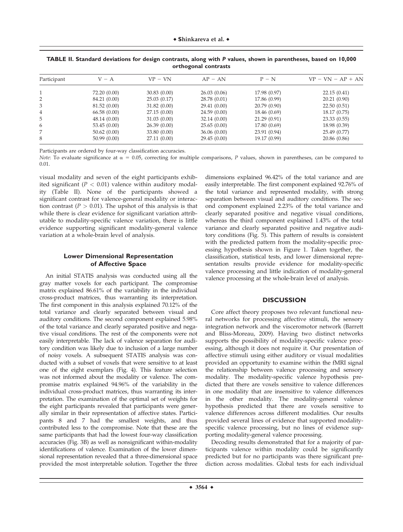| Participant    | $V - A$      | $VP - VN$    | $AP - AN$    | $P - N$      | $VP - VN - AP + AN$ |
|----------------|--------------|--------------|--------------|--------------|---------------------|
|                | 72.20 (0.00) | 30.83(0.00)  | 26.03(0.06)  | 17.98 (0.97) | 22.15(0.41)         |
| 2              | 84.21 (0.00) | 25.03(0.17)  | 28.78 (0.01) | 17.86 (0.99) | 20.21(0.90)         |
| 3              | 81.52 (0.00) | 31.82(0.00)  | 29.41 (0.00) | 20.79(0.90)  | 22.50(0.51)         |
| $\overline{4}$ | 66.58(0.00)  | 27.15(0.00)  | 24.59(0.00)  | 18.46 (0.69) | 18.17 (0.75)        |
| 5              | 48.14 (0.00) | 31.03(0.00)  | 32.14(0.00)  | 21.29(0.91)  | 23.33(0.55)         |
| 6              | 53.45(0.00)  | 26.39(0.00)  | 25.65(0.00)  | 17.80 (0.69) | 18.98 (0.39)        |
| 7              | 50.62(0.00)  | 33.80 (0.00) | 36.06(0.00)  | 23.91 (0.94) | 25.49 (0.77)        |
| 8              | 50.99(0.00)  | 27.11 (0.00) | 29.45(0.00)  | 19.17 (0.99) | 20.86 (0.86)        |

| TABLE II. Standard deviations for design contrasts, along with P values, shown in parentheses, based on 10,000 |  |  |  |  |  |  |  |  |  |
|----------------------------------------------------------------------------------------------------------------|--|--|--|--|--|--|--|--|--|
| orthogonal contrasts                                                                                           |  |  |  |  |  |  |  |  |  |

Participants are ordered by four-way classification accuracies.

Note: To evaluate significance at  $\alpha = 0.05$ , correcting for multiple comparisons, P values, shown in parentheses, can be compared to 0.01.

visual modality and seven of the eight participants exhibited significant ( $P < 0.01$ ) valence within auditory modality (Table II). None of the participants showed a significant contrast for valence-general modality or interaction contrast ( $P > 0.01$ ). The upshot of this analysis is that while there is clear evidence for significant variation attributable to modality-specific valence variation, there is little evidence supporting significant modality-general valence variation at a whole-brain level of analysis.

#### **Lower Dimensional Representation of Affective Space**

An initial STATIS analysis was conducted using all the gray matter voxels for each participant. The compromise matrix explained 86.61% of the variability in the individual cross-product matrices, thus warranting its interpretation. The first component in this analysis explained 70.12% of the total variance and clearly separated between visual and auditory conditions. The second component explained 5.98% of the total variance and clearly separated positive and negative visual conditions. The rest of the components were not easily interpretable. The lack of valence separation for auditory condition was likely due to inclusion of a large number of noisy voxels. A subsequent STATIS analysis was conducted with a subset of voxels that were sensitive to at least one of the eight exemplars (Fig. 4). This feature selection was not informed about the modality or valence. The compromise matrix explained 94.96% of the variability in the individual cross-product matrices, thus warranting its interpretation. The examination of the optimal set of weights for the eight participants revealed that participants were generally similar in their representation of affective states. Participants 8 and 7 had the smallest weights, and thus contributed less to the compromise. Note that these are the same participants that had the lowest four-way classification accuracies (Fig. 3B) as well as nonsignificant within-modality identifications of valence. Examination of the lower dimensional representation revealed that a three-dimensional space provided the most interpretable solution. Together the three

dimensions explained 96.42% of the total variance and are easily interpretable. The first component explained 92.76% of the total variance and represented modality, with strong separation between visual and auditory conditions. The second component explained 2.23% of the total variance and clearly separated positive and negative visual conditions, whereas the third component explained 1.43% of the total variance and clearly separated positive and negative auditory conditions (Fig. 5). This pattern of results is consistent with the predicted pattern from the modality-specific processing hypothesis shown in Figure 1. Taken together, the classification, statistical tests, and lower dimensional representation results provide evidence for modality-specific valence processing and little indication of modality-general valence processing at the whole-brain level of analysis.

#### **DISCUSSION**

Core affect theory proposes two relevant functional neural networks for processing affective stimuli, the sensory integration network and the visceromotor network (Barrett and Bliss-Moreau, 2009). Having two distinct networks supports the possibility of modality-specific valence processing, although it does not require it. Our presentation of affective stimuli using either auditory or visual modalities provided an opportunity to examine within the fMRI signal the relationship between valence processing and sensory modality. The modality-specific valence hypothesis predicted that there are voxels sensitive to valence differences in one modality that are insensitive to valence differences in the other modality. The modality-general valence hypothesis predicted that there are voxels sensitive to valence differences across different modalities. Our results provided several lines of evidence that supported modalityspecific valence processing, but no lines of evidence supporting modality-general valence processing.

Decoding results demonstrated that for a majority of participants valence within modality could be significantly predicted but for no participants was there significant prediction across modalities. Global tests for each individual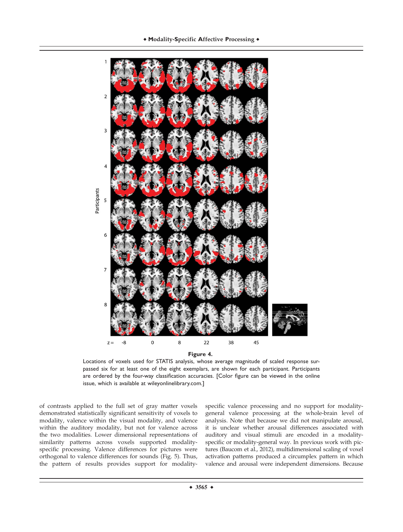

Locations of voxels used for STATIS analysis, whose average magnitude of scaled response surpassed six for at least one of the eight exemplars, are shown for each participant. Participants are ordered by the four-way classification accuracies. [Color figure can be viewed in the online issue, which is available at wileyonlinelibrary.com.]

of contrasts applied to the full set of gray matter voxels demonstrated statistically significant sensitivity of voxels to modality, valence within the visual modality, and valence within the auditory modality, but not for valence across the two modalities. Lower dimensional representations of similarity patterns across voxels supported modalityspecific processing. Valence differences for pictures were orthogonal to valence differences for sounds (Fig. 5). Thus, the pattern of results provides support for modality-

specific valence processing and no support for modalitygeneral valence processing at the whole-brain level of analysis. Note that because we did not manipulate arousal, it is unclear whether arousal differences associated with auditory and visual stimuli are encoded in a modalityspecific or modality-general way. In previous work with pictures (Baucom et al., 2012), multidimensional scaling of voxel activation patterns produced a circumplex pattern in which valence and arousal were independent dimensions. Because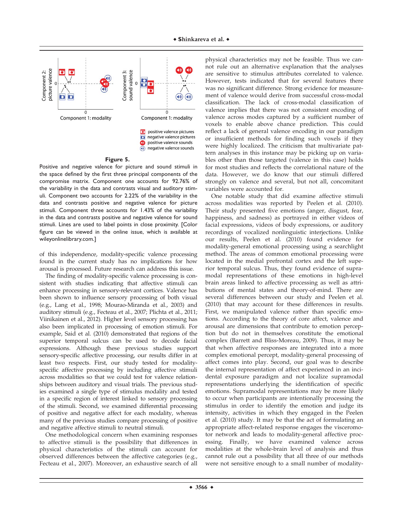

#### **Figure 5.**

Positive and negative valence for picture and sound stimuli in the space defined by the first three principal components of the compromise matrix. Component one accounts for 92.76% of the variability in the data and contrasts visual and auditory stimuli. Component two accounts for 2.22% of the variability in the data and contrasts positive and negative valence for picture stimuli. Component three accounts for 1.43% of the variability in the data and contrasts positive and negative valence for sound stimuli. Lines are used to label points in close proximity. [Color figure can be viewed in the online issue, which is available at wileyonlinelibrary.com.]

of this independence, modality-specific valence processing found in the current study has no implications for how arousal is processed. Future research can address this issue.

The finding of modality-specific valence processing is consistent with studies indicating that affective stimuli can enhance processing in sensory-relevant cortices. Valence has been shown to influence sensory processing of both visual (e.g., Lang et al., 1998; Mourao-Miranda et al., 2003) and auditory stimuli (e.g., Fecteau et al., 2007; Plichta et al., 2011; Viinikainen et al., 2012). Higher level sensory processing has also been implicated in processing of emotion stimuli. For example, Said et al. (2010) demonstrated that regions of the superior temporal sulcus can be used to decode facial expressions. Although these previous studies support sensory-specific affective processing, our results differ in at least two respects. First, our study tested for modalityspecific affective processing by including affective stimuli across modalities so that we could test for valence relationships between auditory and visual trials. The previous studies examined a single type of stimulus modality and tested in a specific region of interest linked to sensory processing of the stimuli. Second, we examined differential processing of positive and negative affect for each modality, whereas many of the previous studies compare processing of positive and negative affective stimuli to neutral stimuli.

One methodological concern when examining responses to affective stimuli is the possibility that differences in physical characteristics of the stimuli can account for observed differences between the affective categories (e.g., Fecteau et al., 2007). Moreover, an exhaustive search of all

physical characteristics may not be feasible. Thus we cannot rule out an alternative explanation that the analyses are sensitive to stimulus attributes correlated to valence. However, tests indicated that for several features there was no significant difference. Strong evidence for measurement of valence would derive from successful cross-modal classification. The lack of cross-modal classification of valence implies that there was not consistent encoding of valence across modes captured by a sufficient number of voxels to enable above chance prediction. This could reflect a lack of general valence encoding in our paradigm or insufficient methods for finding such voxels if they were highly localized. The criticism that multivariate pattern analyses in this instance may be picking up on variables other than those targeted (valence in this case) holds for most studies and reflects the correlational nature of the data. However, we do know that our stimuli differed strongly on valence and several, but not all, concomitant variables were accounted for.

One notable study that did examine affective stimuli across modalities was reported by Peelen et al. (2010). Their study presented five emotions (anger, disgust, fear, happiness, and sadness) as portrayed in either videos of facial expressions, videos of body expressions, or auditory recordings of vocalized nonlinguistic interjections. Unlike our results, Peelen et al. (2010) found evidence for modality-general emotional processing using a searchlight method. The areas of common emotional processing were located in the medial prefrontal cortex and the left superior temporal sulcus. Thus, they found evidence of supramodal representations of these emotions in high-level brain areas linked to affective processing as well as attributions of mental states and theory-of-mind. There are several differences between our study and Peelen et al. (2010) that may account for these differences in results. First, we manipulated valence rather than specific emotions. According to the theory of core affect, valence and arousal are dimensions that contribute to emotion perception but do not in themselves constitute the emotional complex (Barrett and Bliss-Moreau, 2009). Thus, it may be that when affective responses are integrated into a more complex emotional percept, modality-general processing of affect comes into play. Second, our goal was to describe the internal representation of affect experienced in an incidental exposure paradigm and not localize supramodal representations underlying the identification of specific emotions. Supramodal representations may be more likely to occur when participants are intentionally processing the stimulus in order to identify the emotion and judge its intensity, activities in which they engaged in the Peelen et al. (2010) study. It may be that the act of formulating an appropriate affect-related response engages the visceromotor network and leads to modality-general affective processing. Finally, we have examined valence across modalities at the whole-brain level of analysis and thus cannot rule out a possibility that all three of our methods were not sensitive enough to a small number of modality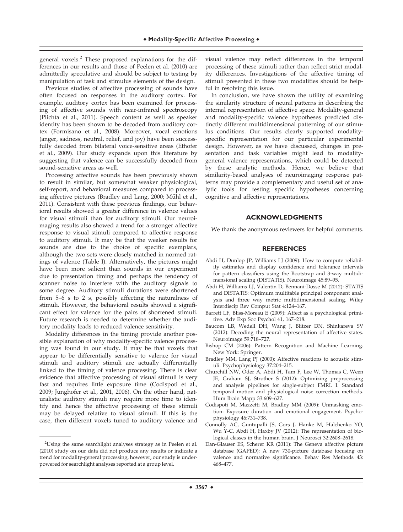general voxels.<sup>2</sup> These proposed explanations for the differences in our results and those of Peelen et al. (2010) are admittedly speculative and should be subject to testing by manipulation of task and stimulus elements of the design.

Previous studies of affective processing of sounds have often focused on responses in the auditory cortex. For example, auditory cortex has been examined for processing of affective sounds with near-infrared spectroscopy (Plichta et al., 2011). Speech content as well as speaker identity has been shown to be decoded from auditory cortex (Formisano et al., 2008). Moreover, vocal emotions (anger, sadness, neutral, relief, and joy) have been successfully decoded from bilateral voice-sensitive areas (Ethofer et al., 2009). Our study expands upon this literature by suggesting that valence can be successfully decoded from sound-sensitive areas as well.

Processing affective sounds has been previously shown to result in similar, but somewhat weaker physiological, self-report, and behavioral measures compared to processing affective pictures (Bradley and Lang, 2000; Mühl et al., 2011). Consistent with these previous findings, our behavioral results showed a greater difference in valence values for visual stimuli than for auditory stimuli. Our neuroimaging results also showed a trend for a stronger affective response to visual stimuli compared to affective response to auditory stimuli. It may be that the weaker results for sounds are due to the choice of specific exemplars, although the two sets were closely matched in normed ratings of valence (Table I). Alternatively, the pictures might have been more salient than sounds in our experiment due to presentation timing and perhaps the tendency of scanner noise to interfere with the auditory signals to some degree. Auditory stimuli durations were shortened from 5–6 s to 2 s, possibly affecting the naturalness of stimuli. However, the behavioral results showed a significant effect for valence for the pairs of shortened stimuli. Future research is needed to determine whether the auditory modality leads to reduced valence sensitivity.

Modality differences in the timing provide another possible explanation of why modality-specific valence processing was found in our study. It may be that voxels that appear to be differentially sensitive to valence for visual stimuli and auditory stimuli are actually differentially linked to the timing of valence processing. There is clear evidence that affective processing of visual stimuli is very fast and requires little exposure time (Codispoti et al., 2009; Junghofer et al., 2001, 2006). On the other hand, naturalistic auditory stimuli may require more time to identify and hence the affective processing of these stimuli may be delayed relative to visual stimuli. If this is the case, then different voxels tuned to auditory valence and

visual valence may reflect differences in the temporal processing of these stimuli rather than reflect strict modality differences. Investigations of the affective timing of stimuli presented in these two modalities should be helpful in resolving this issue.

In conclusion, we have shown the utility of examining the similarity structure of neural patterns in describing the internal representation of affective space. Modality-general and modality-specific valence hypotheses predicted distinctly different multidimensional patterning of our stimulus conditions. Our results clearly supported modalityspecific representation for our particular experimental design. However, as we have discussed, changes in presentation and task variables might lead to modalitygeneral valence representations, which could be detected by these analytic methods. Hence, we believe that similarity-based analyses of neuroimaging response patterns may provide a complementary and useful set of analytic tools for testing specific hypotheses concerning cognitive and affective representations.

#### **ACKNOWLEDGMENTS**

We thank the anonymous reviewers for helpful comments.

#### **REFERENCES**

- Abdi H, Dunlop JP, Williams LJ (2009): How to compute reliability estimates and display confidence and tolerance intervals for pattern classifiers using the Bootstrap and 3-way multidimensional scaling (DISTATIS). Neuroimage 45:89–95.
- Abdi H, Williams LJ, Valentin D, Bennani-Dosse M (2012): STATIS and DISTATIS: Optimum multitable principal component analysis and three way metric multidimensional scaling. Wiley Interdiscip Rev Comput Stat 4:124–167.
- Barrett LF, Bliss-Moreau E (2009): Affect as a psychological primitive. Adv Exp Soc Psychol 41, 167–218.
- Baucom LB, Wedell DH, Wang J, Blitzer DN, Shinkareva SV (2012): Decoding the neural representation of affective states. Neuroimage 59:718–727.
- Bishop CM (2006): Pattern Recognition and Machine Learning. New York: Springer.
- Bradley MM, Lang PJ (2000): Affective reactions to acoustic stimuli. Psychophysiology 37:204–215.
- Churchill NW, Oder A, Abdi H, Tam F, Lee W, Thomas C, Ween JE, Graham SJ, Strother S (2012): Optimizing preprocessing and analysis pipelines for single-subject FMRI. I. Standard temporal motion and physiological noise correction methods. Hum Brain Mapp 33:609–627.
- Codispoti M, Mazzetti M, Bradley MM (2009): Unmasking emotion: Exposure duration and emotional engagement. Psychophysiology 46:731–738.
- Connolly AC, Guntupalli JS, Gors J, Hanke M, Halchenko YO, Wu Y-C, Abdi H, Haxby JV (2012): The representation of biological classes in the human brain. J Neurosci 32:2608–2618.
- Dan-Glauser ES, Scherer KR (2011): The Geneva affective picture database (GAPED): A new 730-picture database focusing on valence and normative significance. Behav Res Methods 43: 468–477.

<sup>&</sup>lt;sup>2</sup>Using the same searchlight analyses strategy as in Peelen et al. (2010) study on our data did not produce any results or indicate a trend for modality-general processing, however, our study is underpowered for searchlight analyses reported at a group level.